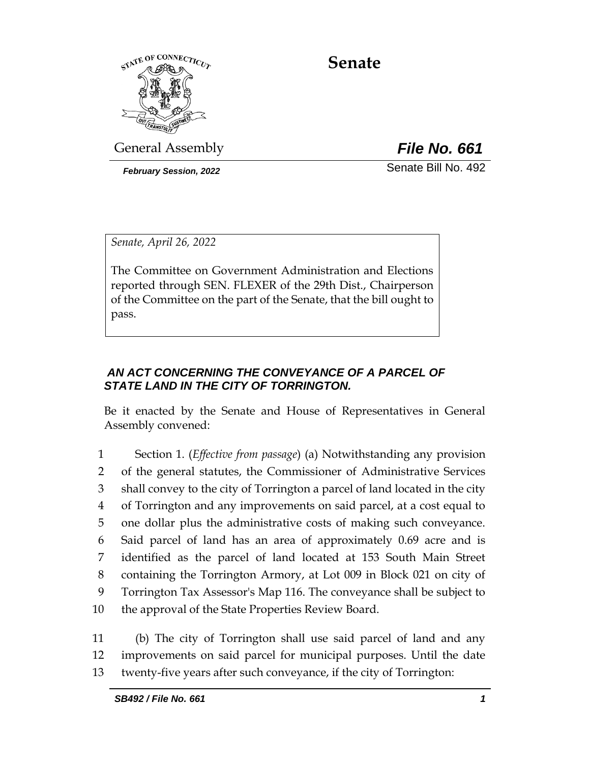

**Senate**

General Assembly *File No. 661*

*February Session, 2022* Senate Bill No. 492

*Senate, April 26, 2022*

The Committee on Government Administration and Elections reported through SEN. FLEXER of the 29th Dist., Chairperson of the Committee on the part of the Senate, that the bill ought to pass.

# *AN ACT CONCERNING THE CONVEYANCE OF A PARCEL OF STATE LAND IN THE CITY OF TORRINGTON.*

Be it enacted by the Senate and House of Representatives in General Assembly convened:

 Section 1. (*Effective from passage*) (a) Notwithstanding any provision of the general statutes, the Commissioner of Administrative Services shall convey to the city of Torrington a parcel of land located in the city of Torrington and any improvements on said parcel, at a cost equal to one dollar plus the administrative costs of making such conveyance. Said parcel of land has an area of approximately 0.69 acre and is identified as the parcel of land located at 153 South Main Street containing the Torrington Armory, at Lot 009 in Block 021 on city of Torrington Tax Assessor's Map 116. The conveyance shall be subject to the approval of the State Properties Review Board.

11 (b) The city of Torrington shall use said parcel of land and any 12 improvements on said parcel for municipal purposes. Until the date 13 twenty-five years after such conveyance, if the city of Torrington: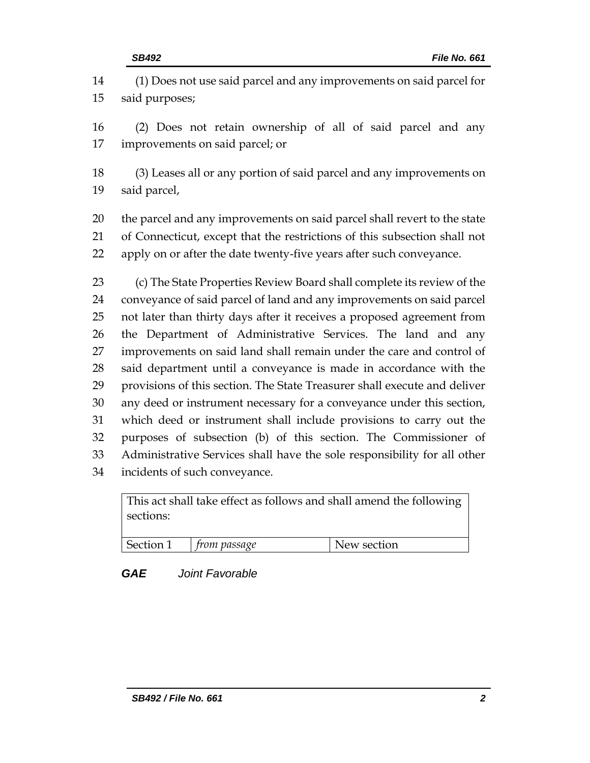(1) Does not use said parcel and any improvements on said parcel for said purposes;

 (2) Does not retain ownership of all of said parcel and any improvements on said parcel; or

 (3) Leases all or any portion of said parcel and any improvements on said parcel,

 the parcel and any improvements on said parcel shall revert to the state of Connecticut, except that the restrictions of this subsection shall not apply on or after the date twenty-five years after such conveyance.

 (c) The State Properties Review Board shall complete its review of the conveyance of said parcel of land and any improvements on said parcel not later than thirty days after it receives a proposed agreement from the Department of Administrative Services. The land and any improvements on said land shall remain under the care and control of said department until a conveyance is made in accordance with the provisions of this section. The State Treasurer shall execute and deliver any deed or instrument necessary for a conveyance under this section, which deed or instrument shall include provisions to carry out the purposes of subsection (b) of this section. The Commissioner of Administrative Services shall have the sole responsibility for all other incidents of such conveyance.

| This act shall take effect as follows and shall amend the following |                                        |             |  |  |
|---------------------------------------------------------------------|----------------------------------------|-------------|--|--|
| sections:                                                           |                                        |             |  |  |
|                                                                     |                                        |             |  |  |
|                                                                     | $\vert$ Section 1 $\vert$ from passage | New section |  |  |

## *GAE Joint Favorable*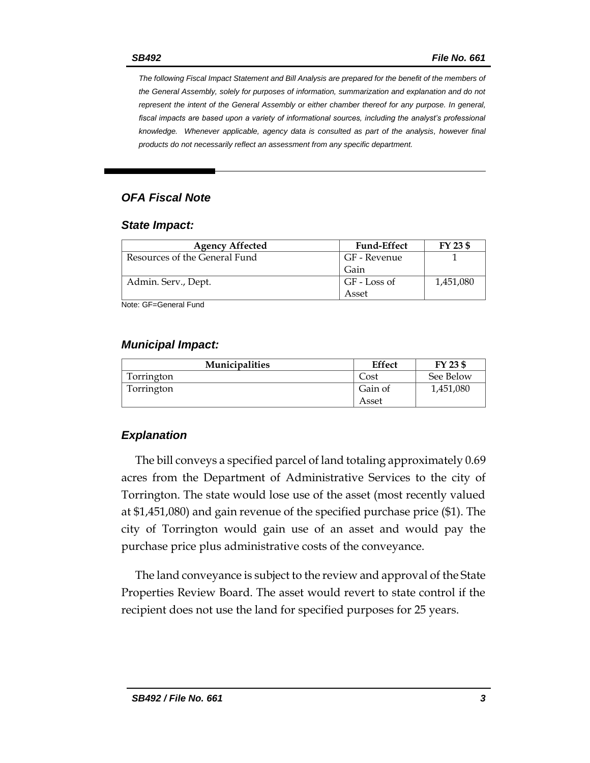*The following Fiscal Impact Statement and Bill Analysis are prepared for the benefit of the members of the General Assembly, solely for purposes of information, summarization and explanation and do not represent the intent of the General Assembly or either chamber thereof for any purpose. In general,*  fiscal impacts are based upon a variety of informational sources, including the analyst's professional *knowledge. Whenever applicable, agency data is consulted as part of the analysis, however final products do not necessarily reflect an assessment from any specific department.*

### *OFA Fiscal Note*

#### *State Impact:*

| <b>Agency Affected</b>        | <b>Fund-Effect</b> | FY 23 \$  |
|-------------------------------|--------------------|-----------|
| Resources of the General Fund | GF - Revenue       |           |
|                               | Gain               |           |
| Admin. Serv., Dept.           | GF - Loss of       | 1,451,080 |
|                               | Asset              |           |

Note: GF=General Fund

### *Municipal Impact:*

| Municipalities | <b>Effect</b> | FY 23 \$  |
|----------------|---------------|-----------|
| Torrington     | Cost          | See Below |
| Torrington     | Gain of       | 1,451,080 |
|                | Asset         |           |

### *Explanation*

The bill conveys a specified parcel of land totaling approximately 0.69 acres from the Department of Administrative Services to the city of Torrington. The state would lose use of the asset (most recently valued at \$1,451,080) and gain revenue of the specified purchase price (\$1). The city of Torrington would gain use of an asset and would pay the purchase price plus administrative costs of the conveyance.

The land conveyance is subject to the review and approval of the State Properties Review Board. The asset would revert to state control if the recipient does not use the land for specified purposes for 25 years.